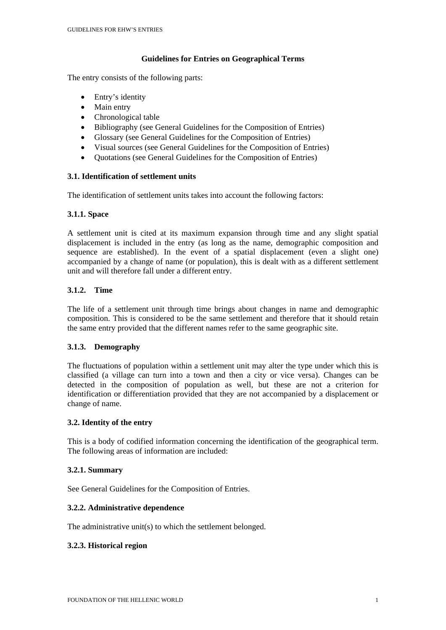### **Guidelines for Entries on Geographical Terms**

The entry consists of the following parts:

- Entry's identity
- Main entry
- Chronological table
- Bibliography (see General Guidelines for the Composition of Entries)
- Glossary (see General Guidelines for the Composition of Entries)
- Visual sources (see General Guidelines for the Composition of Entries)
- Quotations (see General Guidelines for the Composition of Entries)

### **3.1. Identification of settlement units**

The identification of settlement units takes into account the following factors:

# **3.1.1. Space**

A settlement unit is cited at its maximum expansion through time and any slight spatial displacement is included in the entry (as long as the name, demographic composition and sequence are established). In the event of a spatial displacement (even a slight one) accompanied by a change of name (or population), this is dealt with as a different settlement unit and will therefore fall under a different entry.

# **3.1.2. Time**

The life of a settlement unit through time brings about changes in name and demographic composition. This is considered to be the same settlement and therefore that it should retain the same entry provided that the different names refer to the same geographic site.

### **3.1.3. Demography**

The fluctuations of population within a settlement unit may alter the type under which this is classified (a village can turn into a town and then a city or vice versa). Changes can be detected in the composition of population as well, but these are not a criterion for identification or differentiation provided that they are not accompanied by a displacement or change of name.

### **3.2. Identity of the entry**

This is a body of codified information concerning the identification of the geographical term. The following areas of information are included:

### **3.2.1. Summary**

See General Guidelines for the Composition of Entries.

### **3.2.2. Administrative dependence**

The administrative unit(s) to which the settlement belonged.

### **3.2.3. Historical region**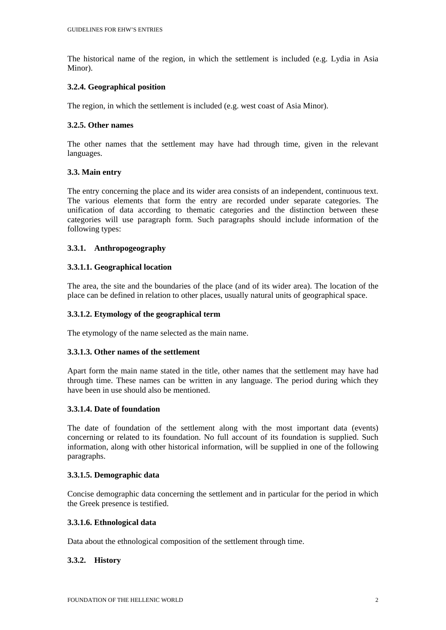The historical name of the region, in which the settlement is included (e.g. Lydia in Asia Minor).

#### **3.2.4. Geographical position**

The region, in which the settlement is included (e.g. west coast of Asia Minor).

#### **3.2.5. Other names**

The other names that the settlement may have had through time, given in the relevant languages.

#### **3.3. Main entry**

The entry concerning the place and its wider area consists of an independent, continuous text. The various elements that form the entry are recorded under separate categories. The unification of data according to thematic categories and the distinction between these categories will use paragraph form. Such paragraphs should include information of the following types:

#### **3.3.1. Anthropogeography**

#### **3.3.1.1. Geographical location**

The area, the site and the boundaries of the place (and of its wider area). The location of the place can be defined in relation to other places, usually natural units of geographical space.

#### **3.3.1.2. Etymology of the geographical term**

The etymology of the name selected as the main name.

### **3.3.1.3. Other names of the settlement**

Apart form the main name stated in the title, other names that the settlement may have had through time. These names can be written in any language. The period during which they have been in use should also be mentioned.

#### **3.3.1.4. Date of foundation**

The date of foundation of the settlement along with the most important data (events) concerning or related to its foundation. No full account of its foundation is supplied. Such information, along with other historical information, will be supplied in one of the following paragraphs.

#### **3.3.1.5. Demographic data**

Concise demographic data concerning the settlement and in particular for the period in which the Greek presence is testified.

#### **3.3.1.6. Ethnological data**

Data about the ethnological composition of the settlement through time.

### **3.3.2. History**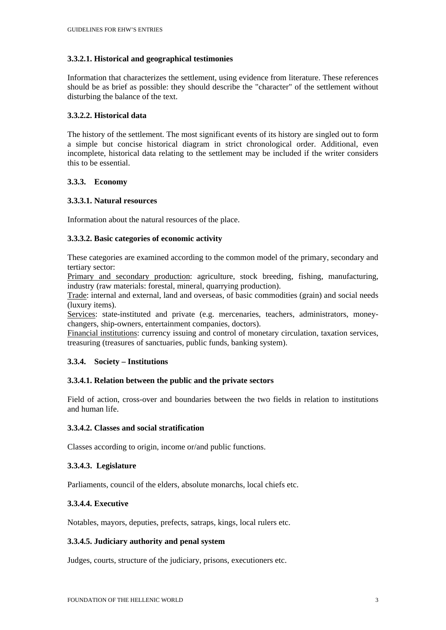# **3.3.2.1. Historical and geographical testimonies**

Information that characterizes the settlement, using evidence from literature. These references should be as brief as possible: they should describe the "character" of the settlement without disturbing the balance of the text.

### **3.3.2.2. Historical data**

The history of the settlement. The most significant events of its history are singled out to form a simple but concise historical diagram in strict chronological order. Additional, even incomplete, historical data relating to the settlement may be included if the writer considers this to be essential.

# **3.3.3. Economy**

# **3.3.3.1. Natural resources**

Information about the natural resources of the place.

# **3.3.3.2. Basic categories of economic activity**

These categories are examined according to the common model of the primary, secondary and tertiary sector:

Primary and secondary production: agriculture, stock breeding, fishing, manufacturing, industry (raw materials: forestal, mineral, quarrying production).

Trade: internal and external, land and overseas, of basic commodities (grain) and social needs (luxury items).

Services: state-instituted and private (e.g. mercenaries, teachers, administrators, moneychangers, ship-owners, entertainment companies, doctors).

Financial institutions: currency issuing and control of monetary circulation, taxation services, treasuring (treasures of sanctuaries, public funds, banking system).

# **3.3.4. Society – Institutions**

### **3.3.4.1. Relation between the public and the private sectors**

Field of action, cross-over and boundaries between the two fields in relation to institutions and human life.

### **3.3.4.2. Classes and social stratification**

Classes according to origin, income or/and public functions.

### **3.3.4.3. Legislature**

Parliaments, council of the elders, absolute monarchs, local chiefs etc.

### **3.3.4.4. Executive**

Notables, mayors, deputies, prefects, satraps, kings, local rulers etc.

### **3.3.4.5. Judiciary authority and penal system**

Judges, courts, structure of the judiciary, prisons, executioners etc.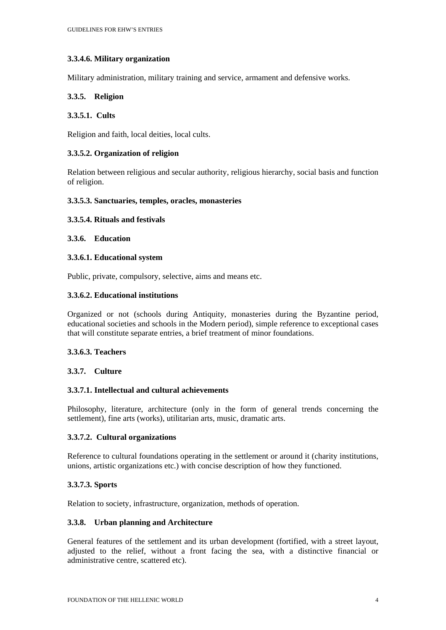# **3.3.4.6. Military organization**

Military administration, military training and service, armament and defensive works.

# **3.3.5. Religion**

### **3.3.5.1. Cults**

Religion and faith, local deities, local cults.

# **3.3.5.2. Organization of religion**

Relation between religious and secular authority, religious hierarchy, social basis and function of religion.

### **3.3.5.3. Sanctuaries, temples, oracles, monasteries**

### **3.3.5.4. Rituals and festivals**

# **3.3.6. Education**

### **3.3.6.1. Educational system**

Public, private, compulsory, selective, aims and means etc.

# **3.3.6.2. Educational institutions**

Organized or not (schools during Antiquity, monasteries during the Byzantine period, educational societies and schools in the Modern period), simple reference to exceptional cases that will constitute separate entries, a brief treatment of minor foundations.

# **3.3.6.3. Teachers**

### **3.3.7. Culture**

# **3.3.7.1. Intellectual and cultural achievements**

Philosophy, literature, architecture (only in the form of general trends concerning the settlement), fine arts (works), utilitarian arts, music, dramatic arts.

### **3.3.7.2. Cultural organizations**

Reference to cultural foundations operating in the settlement or around it (charity institutions, unions, artistic organizations etc.) with concise description of how they functioned.

### **3.3.7.3. Sports**

Relation to society, infrastructure, organization, methods of operation.

### **3.3.8. Urban planning and Architecture**

General features of the settlement and its urban development (fortified, with a street layout, adjusted to the relief, without a front facing the sea, with a distinctive financial or administrative centre, scattered etc).